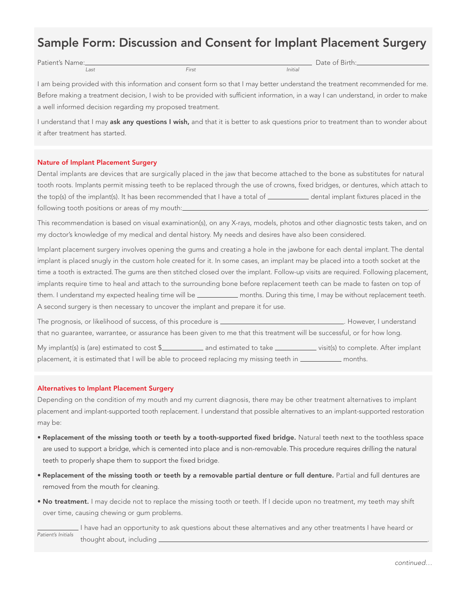# Sample Form: Discussion and Consent for Implant Placement Surgery

Patient's Name: <u>Last and the Case of Birth:</u> Date of Birth:

Last First Initial

I am being provided with this information and consent form so that I may better understand the treatment recommended for me. Before making a treatment decision, I wish to be provided with sufficient information, in a way I can understand, in order to make a well informed decision regarding my proposed treatment.

I understand that I may ask any questions I wish, and that it is better to ask questions prior to treatment than to wonder about it after treatment has started.

## Nature of Implant Placement Surgery

Dental implants are devices that are surgically placed in the jaw that become attached to the bone as substitutes for natural tooth roots. Implants permit missing teeth to be replaced through the use of crowns, fixed bridges, or dentures, which attach to the top(s) of the implant(s). It has been recommended that I have a total of \_\_\_\_\_\_\_\_\_\_\_\_\_ dental implant fixtures placed in the following tooth positions or areas of my mouth:

This recommendation is based on visual examination(s), on any X-rays, models, photos and other diagnostic tests taken, and on my doctor's knowledge of my medical and dental history. My needs and desires have also been considered.

Implant placement surgery involves opening the gums and creating a hole in the jawbone for each dental implant. The dental implant is placed snugly in the custom hole created for it. In some cases, an implant may be placed into a tooth socket at the time a tooth is extracted. The gums are then stitched closed over the implant. Follow-up visits are required. Following placement, implants require time to heal and attach to the surrounding bone before replacement teeth can be made to fasten on top of them. I understand my expected healing time will be \_\_\_\_\_\_\_\_\_\_\_\_ months. During this time, I may be without replacement teeth. A second surgery is then necessary to uncover the implant and prepare it for use.

The prognosis, or likelihood of success, of this procedure is **express to the substantial conducts**. However, I understand that no guarantee, warrantee, or assurance has been given to me that this treatment will be successful, or for how long.

My implant(s) is (are) estimated to cost \$ \_\_\_\_\_\_\_\_\_\_\_ and estimated to take visit(s) to complete. After implant placement, it is estimated that I will be able to proceed replacing my missing teeth in \_\_\_\_\_\_\_\_\_\_\_\_ months.

# Alternatives to Implant Placement Surgery

Depending on the condition of my mouth and my current diagnosis, there may be other treatment alternatives to implant placement and implant-supported tooth replacement. I understand that possible alternatives to an implant-supported restoration may be:

- Replacement of the missing tooth or teeth by a tooth-supported fixed bridge. Natural teeth next to the toothless space are used to support a bridge, which is cemented into place and is non-removable. This procedure requires drilling the natural teeth to properly shape them to support the fixed bridge.
- • Replacement of the missing tooth or teeth by a removable partial denture or full denture. Partial and full dentures are removed from the mouth for cleaning.
- No treatment. I may decide not to replace the missing tooth or teeth. If I decide upon no treatment, my teeth may shift over time, causing chewing or gum problems.

I have had an opportunity to ask questions about these alternatives and any other treatments I have heard or thought about, including \_\_ Patient's Initials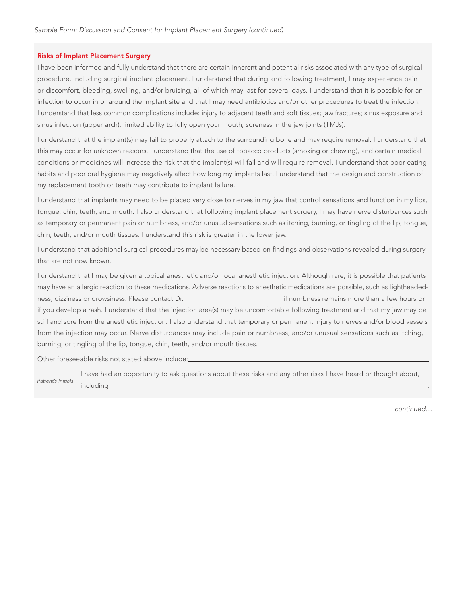## Risks of Implant Placement Surgery

I have been informed and fully understand that there are certain inherent and potential risks associated with any type of surgical procedure, including surgical implant placement. I understand that during and following treatment, I may experience pain or discomfort, bleeding, swelling, and/or bruising, all of which may last for several days. I understand that it is possible for an infection to occur in or around the implant site and that I may need antibiotics and/or other procedures to treat the infection. I understand that less common complications include: injury to adjacent teeth and soft tissues; jaw fractures; sinus exposure and sinus infection (upper arch); limited ability to fully open your mouth; soreness in the jaw joints (TMJs).

I understand that the implant(s) may fail to properly attach to the surrounding bone and may require removal. I understand that this may occur for unknown reasons. I understand that the use of tobacco products (smoking or chewing), and certain medical conditions or medicines will increase the risk that the implant(s) will fail and will require removal. I understand that poor eating habits and poor oral hygiene may negatively affect how long my implants last. I understand that the design and construction of my replacement tooth or teeth may contribute to implant failure.

I understand that implants may need to be placed very close to nerves in my jaw that control sensations and function in my lips, tongue, chin, teeth, and mouth. I also understand that following implant placement surgery, I may have nerve disturbances such as temporary or permanent pain or numbness, and/or unusual sensations such as itching, burning, or tingling of the lip, tongue, chin, teeth, and/or mouth tissues. I understand this risk is greater in the lower jaw.

I understand that additional surgical procedures may be necessary based on findings and observations revealed during surgery that are not now known.

I understand that I may be given a topical anesthetic and/or local anesthetic injection. Although rare, it is possible that patients may have an allergic reaction to these medications. Adverse reactions to anesthetic medications are possible, such as lightheadedness, dizziness or drowsiness. Please contact Dr. **inter all and the mateur of the mateur of the state of the mateur** if numbness remains more than a few hours or if you develop a rash. I understand that the injection area(s) may be uncomfortable following treatment and that my jaw may be stiff and sore from the anesthetic injection. I also understand that temporary or permanent injury to nerves and/or blood vessels from the injection may occur. Nerve disturbances may include pain or numbness, and/or unusual sensations such as itching, burning, or tingling of the lip, tongue, chin, teeth, and/or mouth tissues.

Other foreseeable risks not stated above include:

 I have had an opportunity to ask questions about these risks and any other risks I have heard or thought about, including . Patient's Initials

continued…